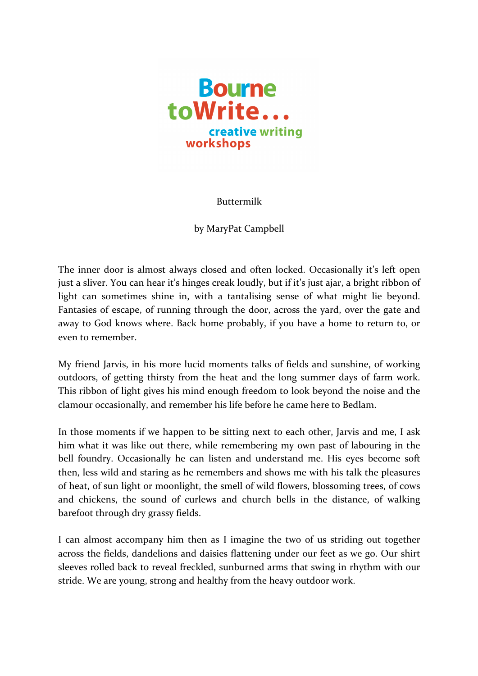

Buttermilk

by MaryPat Campbell

The inner door is almost always closed and often locked. Occasionally it's left open just a sliver. You can hear it's hinges creak loudly, but if it's just ajar, a bright ribbon of light can sometimes shine in, with a tantalising sense of what might lie beyond. Fantasies of escape, of running through the door, across the yard, over the gate and away to God knows where. Back home probably, if you have a home to return to, or even to remember.

My friend Jarvis, in his more lucid moments talks of fields and sunshine, of working outdoors, of getting thirsty from the heat and the long summer days of farm work. This ribbon of light gives his mind enough freedom to look beyond the noise and the clamour occasionally, and remember his life before he came here to Bedlam.

In those moments if we happen to be sitting next to each other, Jarvis and me, I ask him what it was like out there, while remembering my own past of labouring in the bell foundry. Occasionally he can listen and understand me. His eyes become soft then, less wild and staring as he remembers and shows me with his talk the pleasures of heat, of sun light or moonlight, the smell of wild flowers, blossoming trees, of cows and chickens, the sound of curlews and church bells in the distance, of walking barefoot through dry grassy fields.

I can almost accompany him then as I imagine the two of us striding out together across the fields, dandelions and daisies flattening under our feet as we go. Our shirt sleeves rolled back to reveal freckled, sunburned arms that swing in rhythm with our stride. We are young, strong and healthy from the heavy outdoor work.